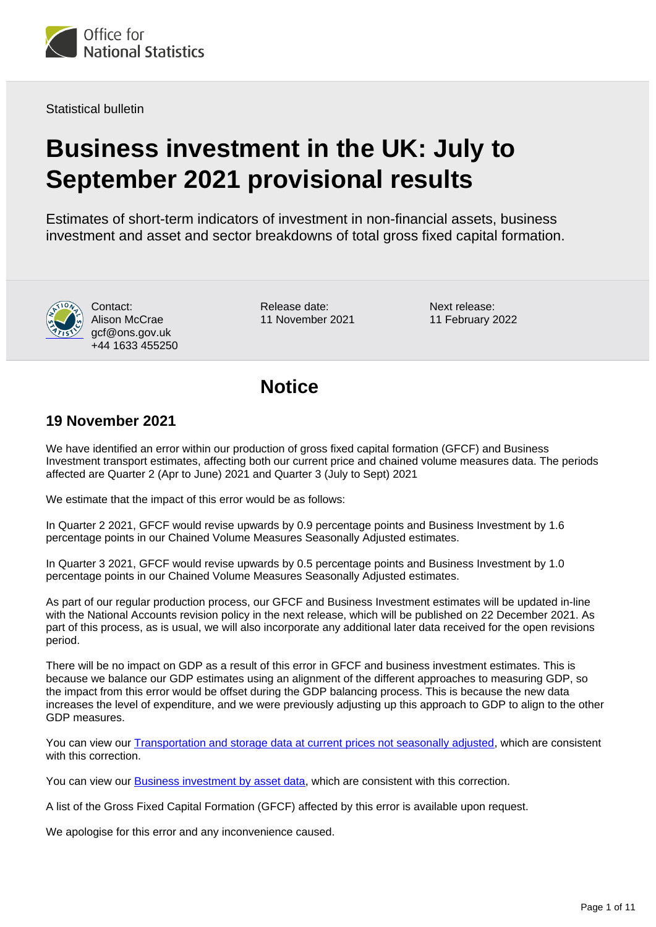

Statistical bulletin

# **Business investment in the UK: July to September 2021 provisional results**

Estimates of short-term indicators of investment in non-financial assets, business investment and asset and sector breakdowns of total gross fixed capital formation.



Contact: Alison McCrae gcf@ons.gov.uk +44 1633 455250

Release date: 11 November 2021 Next release: 11 February 2022

### **Notice**

### **19 November 2021**

We have identified an error within our production of gross fixed capital formation (GFCF) and Business Investment transport estimates, affecting both our current price and chained volume measures data. The periods affected are Quarter 2 (Apr to June) 2021 and Quarter 3 (July to Sept) 2021

We estimate that the impact of this error would be as follows:

In Quarter 2 2021, GFCF would revise upwards by 0.9 percentage points and Business Investment by 1.6 percentage points in our Chained Volume Measures Seasonally Adjusted estimates.

In Quarter 3 2021, GFCF would revise upwards by 0.5 percentage points and Business Investment by 1.0 percentage points in our Chained Volume Measures Seasonally Adjusted estimates.

As part of our regular production process, our GFCF and Business Investment estimates will be updated in-line with the National Accounts revision policy in the next release, which will be published on 22 December 2021. As part of this process, as is usual, we will also incorporate any additional later data received for the open revisions period.

There will be no impact on GDP as a result of this error in GFCF and business investment estimates. This is because we balance our GDP estimates using an alignment of the different approaches to measuring GDP, so the impact from this error would be offset during the GDP balancing process. This is because the new data increases the level of expenditure, and we were previously adjusting up this approach to GDP to align to the other GDP measures.

You can view our [Transportation and storage data at current prices not seasonally adjusted,](https://www.ons.gov.uk/economy/grossdomesticproductgdp/adhocs/13981businessinvestmentwithintransportationandstoragebyindustry) which are consistent with this correction.

You can view our [Business investment by asset data](https://www.ons.gov.uk/economy/grossdomesticproductgdp/adhocs/13999businessinvestmentbyasset), which are consistent with this correction.

A list of the Gross Fixed Capital Formation (GFCF) affected by this error is available upon request.

We apologise for this error and any inconvenience caused.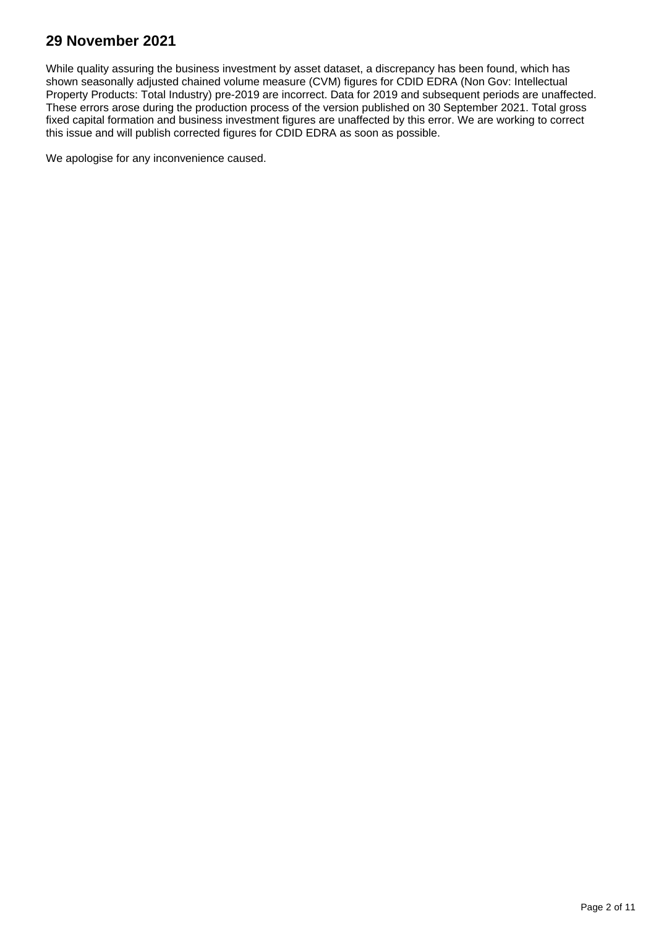### **29 November 2021**

While quality assuring the business investment by asset dataset, a discrepancy has been found, which has shown seasonally adjusted chained volume measure (CVM) figures for CDID EDRA (Non Gov: Intellectual Property Products: Total Industry) pre-2019 are incorrect. Data for 2019 and subsequent periods are unaffected. These errors arose during the production process of the version published on 30 September 2021. Total gross fixed capital formation and business investment figures are unaffected by this error. We are working to correct this issue and will publish corrected figures for CDID EDRA as soon as possible.

We apologise for any inconvenience caused.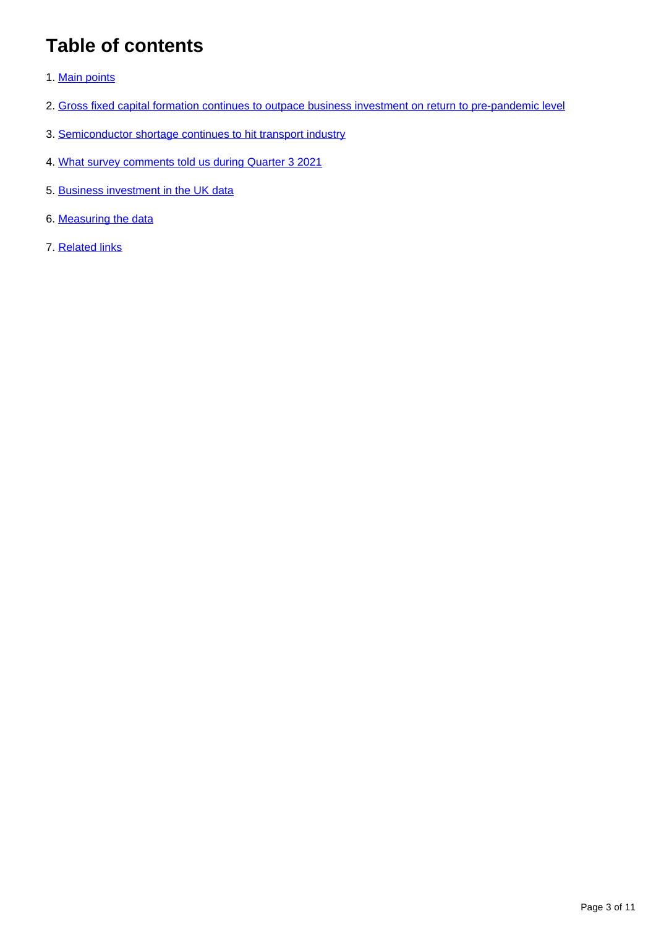## **Table of contents**

- 1. [Main points](#page-3-0)
- 2. [Gross fixed capital formation continues to outpace business investment on return to pre-pandemic level](#page-3-1)
- 3. [Semiconductor shortage continues to hit transport industry](#page-5-0)
- 4. [What survey comments told us during Quarter 3 2021](#page-7-0)
- 5. [Business investment in the UK data](#page-9-0)
- 6. [Measuring the data](#page-9-1)
- 7. [Related links](#page-10-0)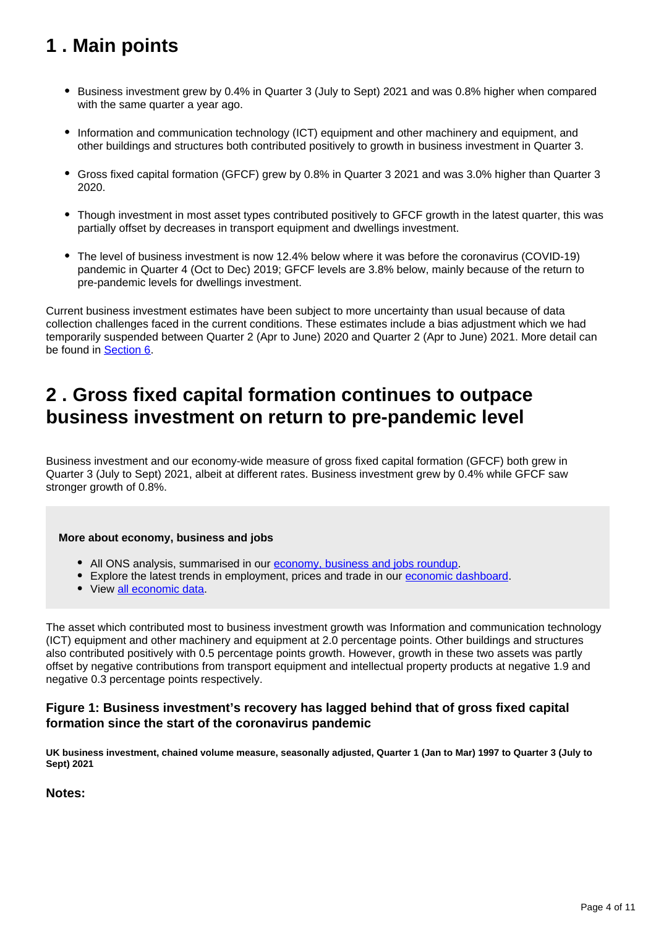## <span id="page-3-0"></span>**1 . Main points**

- Business investment grew by 0.4% in Quarter 3 (July to Sept) 2021 and was 0.8% higher when compared with the same quarter a year ago.
- Information and communication technology (ICT) equipment and other machinery and equipment, and other buildings and structures both contributed positively to growth in business investment in Quarter 3.
- Gross fixed capital formation (GFCF) grew by 0.8% in Quarter 3 2021 and was 3.0% higher than Quarter 3 2020.
- Though investment in most asset types contributed positively to GFCF growth in the latest quarter, this was partially offset by decreases in transport equipment and dwellings investment.
- The level of business investment is now 12.4% below where it was before the coronavirus (COVID-19) pandemic in Quarter 4 (Oct to Dec) 2019; GFCF levels are 3.8% below, mainly because of the return to pre-pandemic levels for dwellings investment.

Current business investment estimates have been subject to more uncertainty than usual because of data collection challenges faced in the current conditions. These estimates include a bias adjustment which we had temporarily suspended between Quarter 2 (Apr to June) 2020 and Quarter 2 (Apr to June) 2021. More detail can be found in [Section 6.](https://www.ons.gov.uk/economy/grossdomesticproductgdp/bulletins/businessinvestment/julytoseptember2021provisionalresults#measuring-the-data)

## <span id="page-3-1"></span>**2 . Gross fixed capital formation continues to outpace business investment on return to pre-pandemic level**

Business investment and our economy-wide measure of gross fixed capital formation (GFCF) both grew in Quarter 3 (July to Sept) 2021, albeit at different rates. Business investment grew by 0.4% while GFCF saw stronger growth of 0.8%.

#### **More about economy, business and jobs**

- All ONS analysis, summarised in our [economy, business and jobs roundup.](https://www.ons.gov.uk/economy/economicoutputandproductivity/output/articles/ukeconomylatest/2021-01-25)
- Explore the latest trends in employment, prices and trade in our [economic dashboard.](https://www.ons.gov.uk/economy/nationalaccounts/articles/dashboardunderstandingtheukeconomy/2017-02-22)
- View [all economic data](https://www.ons.gov.uk/economy/datalist?filter=datasets).

The asset which contributed most to business investment growth was Information and communication technology (ICT) equipment and other machinery and equipment at 2.0 percentage points. Other buildings and structures also contributed positively with 0.5 percentage points growth. However, growth in these two assets was partly offset by negative contributions from transport equipment and intellectual property products at negative 1.9 and negative 0.3 percentage points respectively.

#### **Figure 1: Business investment's recovery has lagged behind that of gross fixed capital formation since the start of the coronavirus pandemic**

**UK business investment, chained volume measure, seasonally adjusted, Quarter 1 (Jan to Mar) 1997 to Quarter 3 (July to Sept) 2021**

#### **Notes:**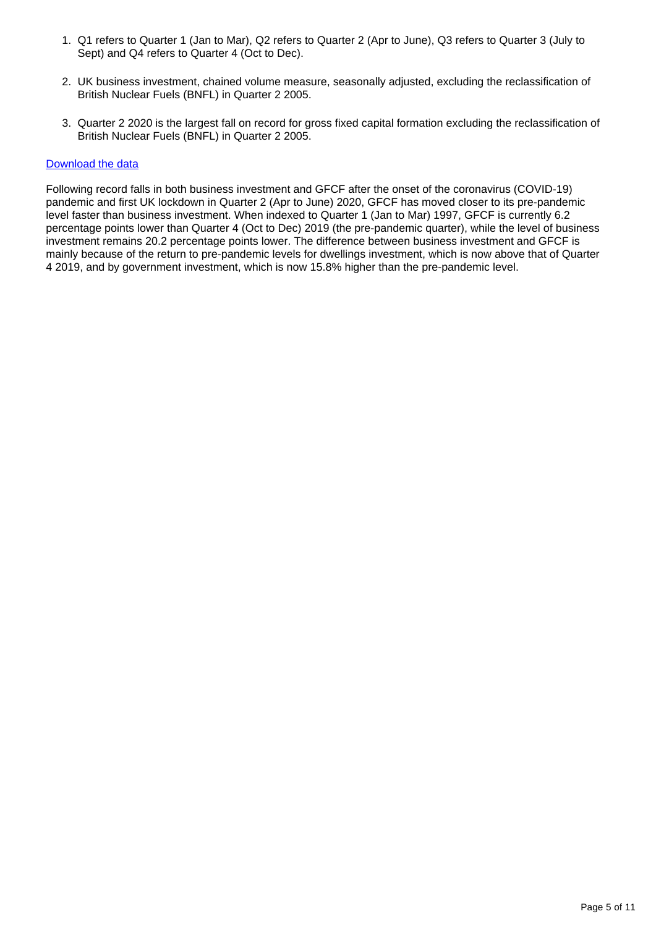- 1. Q1 refers to Quarter 1 (Jan to Mar), Q2 refers to Quarter 2 (Apr to June), Q3 refers to Quarter 3 (July to Sept) and Q4 refers to Quarter 4 (Oct to Dec).
- 2. UK business investment, chained volume measure, seasonally adjusted, excluding the reclassification of British Nuclear Fuels (BNFL) in Quarter 2 2005.
- 3. Quarter 2 2020 is the largest fall on record for gross fixed capital formation excluding the reclassification of British Nuclear Fuels (BNFL) in Quarter 2 2005.

#### [Download the data](https://www.ons.gov.uk/visualisations/dvc1665/line/datadownload.xlsx)

Following record falls in both business investment and GFCF after the onset of the coronavirus (COVID-19) pandemic and first UK lockdown in Quarter 2 (Apr to June) 2020, GFCF has moved closer to its pre-pandemic level faster than business investment. When indexed to Quarter 1 (Jan to Mar) 1997, GFCF is currently 6.2 percentage points lower than Quarter 4 (Oct to Dec) 2019 (the pre-pandemic quarter), while the level of business investment remains 20.2 percentage points lower. The difference between business investment and GFCF is mainly because of the return to pre-pandemic levels for dwellings investment, which is now above that of Quarter 4 2019, and by government investment, which is now 15.8% higher than the pre-pandemic level.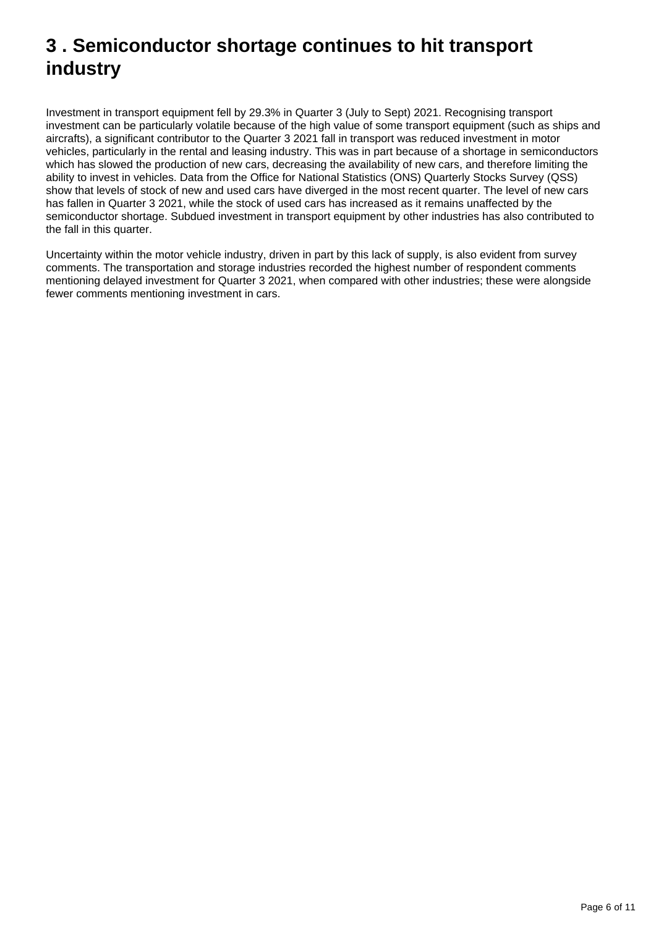## <span id="page-5-0"></span>**3 . Semiconductor shortage continues to hit transport industry**

Investment in transport equipment fell by 29.3% in Quarter 3 (July to Sept) 2021. Recognising transport investment can be particularly volatile because of the high value of some transport equipment (such as ships and aircrafts), a significant contributor to the Quarter 3 2021 fall in transport was reduced investment in motor vehicles, particularly in the rental and leasing industry. This was in part because of a shortage in semiconductors which has slowed the production of new cars, decreasing the availability of new cars, and therefore limiting the ability to invest in vehicles. Data from the Office for National Statistics (ONS) Quarterly Stocks Survey (QSS) show that levels of stock of new and used cars have diverged in the most recent quarter. The level of new cars has fallen in Quarter 3 2021, while the stock of used cars has increased as it remains unaffected by the semiconductor shortage. Subdued investment in transport equipment by other industries has also contributed to the fall in this quarter.

Uncertainty within the motor vehicle industry, driven in part by this lack of supply, is also evident from survey comments. The transportation and storage industries recorded the highest number of respondent comments mentioning delayed investment for Quarter 3 2021, when compared with other industries; these were alongside fewer comments mentioning investment in cars.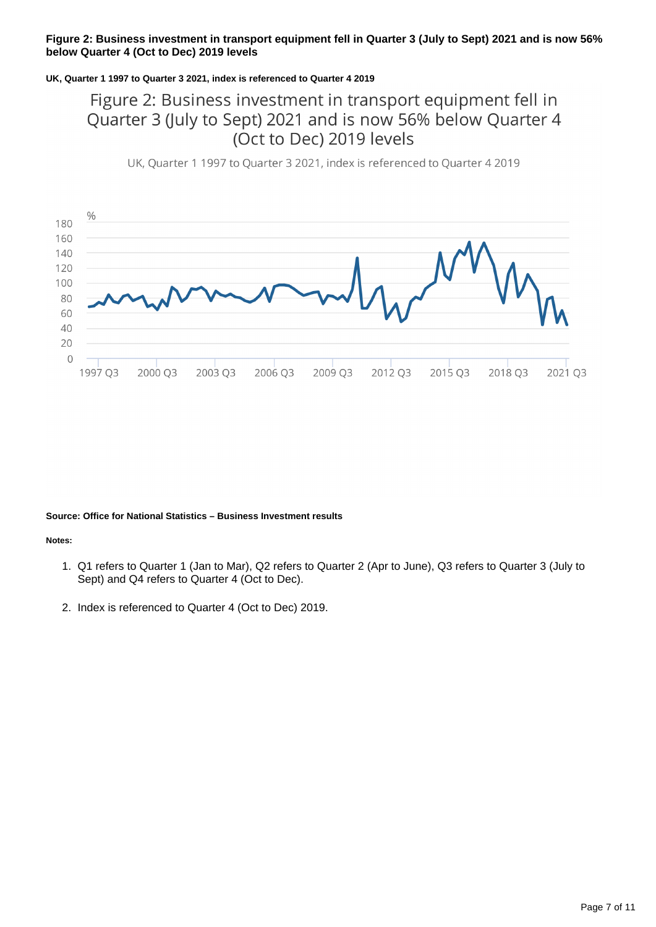#### **Figure 2: Business investment in transport equipment fell in Quarter 3 (July to Sept) 2021 and is now 56% below Quarter 4 (Oct to Dec) 2019 levels**

#### **UK, Quarter 1 1997 to Quarter 3 2021, index is referenced to Quarter 4 2019**

### Figure 2: Business investment in transport equipment fell in Quarter 3 (July to Sept) 2021 and is now 56% below Quarter 4 (Oct to Dec) 2019 levels

UK, Quarter 1 1997 to Quarter 3 2021, index is referenced to Quarter 4 2019



#### **Source: Office for National Statistics – Business Investment results**

#### **Notes:**

- 1. Q1 refers to Quarter 1 (Jan to Mar), Q2 refers to Quarter 2 (Apr to June), Q3 refers to Quarter 3 (July to Sept) and Q4 refers to Quarter 4 (Oct to Dec).
- 2. Index is referenced to Quarter 4 (Oct to Dec) 2019.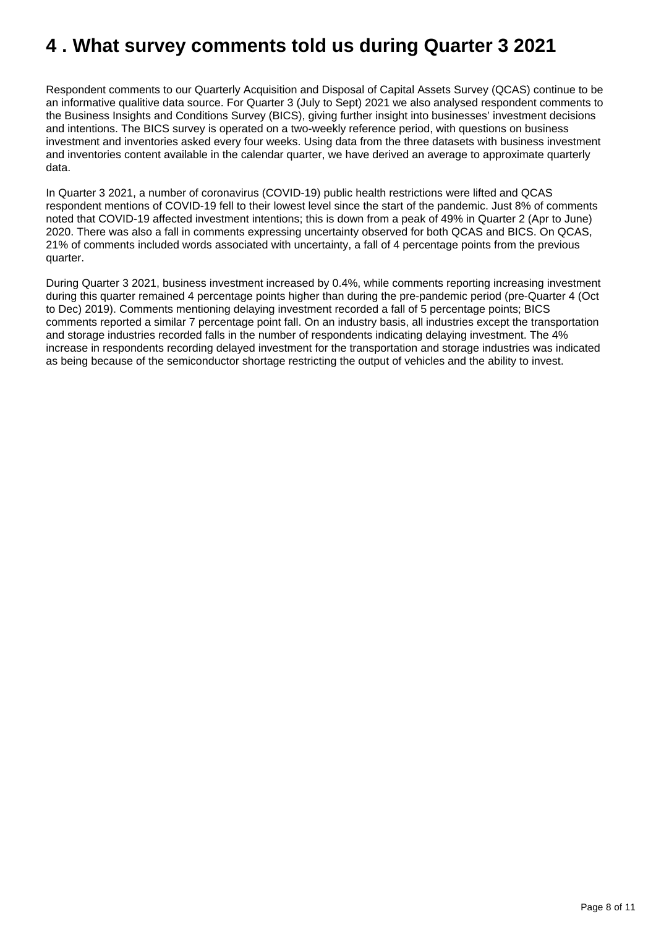## <span id="page-7-0"></span>**4 . What survey comments told us during Quarter 3 2021**

Respondent comments to our Quarterly Acquisition and Disposal of Capital Assets Survey (QCAS) continue to be an informative qualitive data source. For Quarter 3 (July to Sept) 2021 we also analysed respondent comments to the Business Insights and Conditions Survey (BICS), giving further insight into businesses' investment decisions and intentions. The BICS survey is operated on a two-weekly reference period, with questions on business investment and inventories asked every four weeks. Using data from the three datasets with business investment and inventories content available in the calendar quarter, we have derived an average to approximate quarterly data.

In Quarter 3 2021, a number of coronavirus (COVID-19) public health restrictions were lifted and QCAS respondent mentions of COVID-19 fell to their lowest level since the start of the pandemic. Just 8% of comments noted that COVID-19 affected investment intentions; this is down from a peak of 49% in Quarter 2 (Apr to June) 2020. There was also a fall in comments expressing uncertainty observed for both QCAS and BICS. On QCAS, 21% of comments included words associated with uncertainty, a fall of 4 percentage points from the previous quarter.

During Quarter 3 2021, business investment increased by 0.4%, while comments reporting increasing investment during this quarter remained 4 percentage points higher than during the pre-pandemic period (pre-Quarter 4 (Oct to Dec) 2019). Comments mentioning delaying investment recorded a fall of 5 percentage points; BICS comments reported a similar 7 percentage point fall. On an industry basis, all industries except the transportation and storage industries recorded falls in the number of respondents indicating delaying investment. The 4% increase in respondents recording delayed investment for the transportation and storage industries was indicated as being because of the semiconductor shortage restricting the output of vehicles and the ability to invest.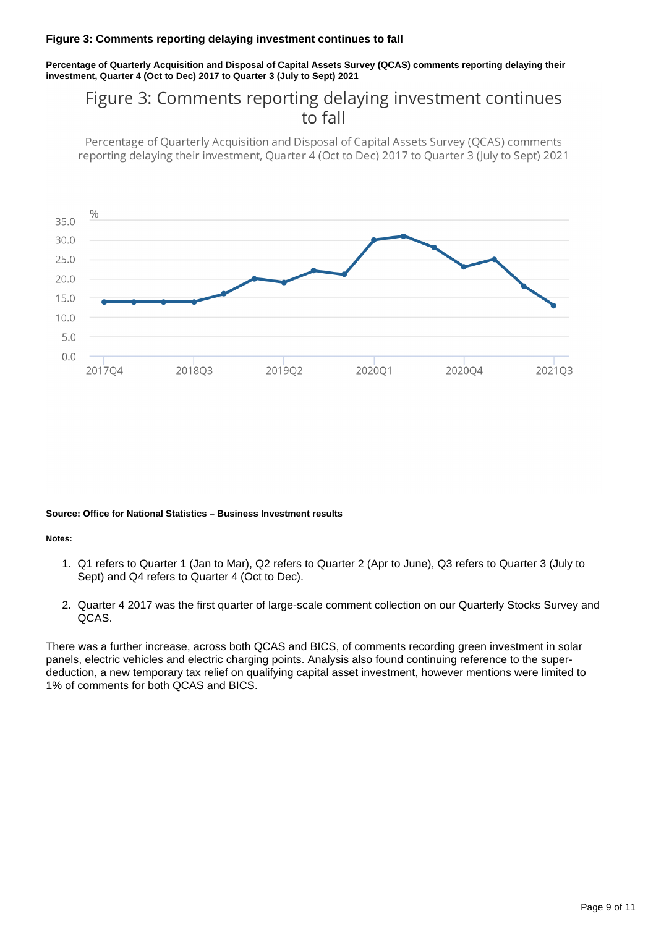#### **Figure 3: Comments reporting delaying investment continues to fall**

**Percentage of Quarterly Acquisition and Disposal of Capital Assets Survey (QCAS) comments reporting delaying their investment, Quarter 4 (Oct to Dec) 2017 to Quarter 3 (July to Sept) 2021**

### Figure 3: Comments reporting delaying investment continues to fall

Percentage of Quarterly Acquisition and Disposal of Capital Assets Survey (QCAS) comments reporting delaying their investment, Quarter 4 (Oct to Dec) 2017 to Quarter 3 (July to Sept) 2021



#### **Source: Office for National Statistics – Business Investment results**

**Notes:**

- 1. Q1 refers to Quarter 1 (Jan to Mar), Q2 refers to Quarter 2 (Apr to June), Q3 refers to Quarter 3 (July to Sept) and Q4 refers to Quarter 4 (Oct to Dec).
- 2. Quarter 4 2017 was the first quarter of large-scale comment collection on our Quarterly Stocks Survey and QCAS.

There was a further increase, across both QCAS and BICS, of comments recording green investment in solar panels, electric vehicles and electric charging points. Analysis also found continuing reference to the superdeduction, a new temporary tax relief on qualifying capital asset investment, however mentions were limited to 1% of comments for both QCAS and BICS.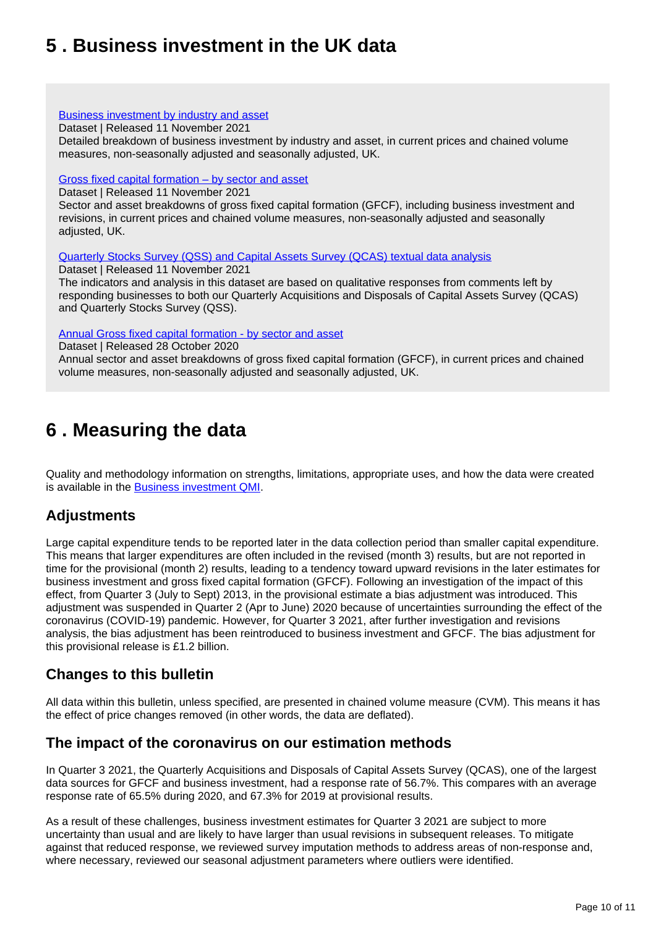## <span id="page-9-0"></span>**5 . Business investment in the UK data**

#### [Business investment by industry and asset](https://www.ons.gov.uk/economy/grossdomesticproductgdp/datasets/businessinvestmentbyindustryandasset)

Dataset | Released 11 November 2021

Detailed breakdown of business investment by industry and asset, in current prices and chained volume measures, non-seasonally adjusted and seasonally adjusted, UK.

#### [Gross fixed capital formation – by sector and asset](https://www.ons.gov.uk/economy/grossdomesticproductgdp/datasets/grossfixedcapitalformationbysectorandasset)

Dataset | Released 11 November 2021

Sector and asset breakdowns of gross fixed capital formation (GFCF), including business investment and revisions, in current prices and chained volume measures, non-seasonally adjusted and seasonally adjusted, UK.

[Quarterly Stocks Survey \(QSS\) and Capital Assets Survey \(QCAS\) textual data analysis](https://www.ons.gov.uk/economy/grossdomesticproductgdp/datasets/quarterlystockssurveyqssandcapitalassetssurveyqcastextualdataanalysis)

Dataset | Released 11 November 2021

The indicators and analysis in this dataset are based on qualitative responses from comments left by responding businesses to both our Quarterly Acquisitions and Disposals of Capital Assets Survey (QCAS) and Quarterly Stocks Survey (QSS).

[Annual Gross fixed capital formation - by sector and asset](https://www.ons.gov.uk/economy/grossdomesticproductgdp/datasets/annualgrossfixedcapitalformationbyindustryandasset)

Dataset | Released 28 October 2020

Annual sector and asset breakdowns of gross fixed capital formation (GFCF), in current prices and chained volume measures, non-seasonally adjusted and seasonally adjusted, UK.

## <span id="page-9-1"></span>**6 . Measuring the data**

Quality and methodology information on strengths, limitations, appropriate uses, and how the data were created is available in the **[Business investment QMI](https://www.ons.gov.uk/economy/investmentspensionsandtrusts/methodologies/businessinvestmentqmi)**.

### **Adjustments**

Large capital expenditure tends to be reported later in the data collection period than smaller capital expenditure. This means that larger expenditures are often included in the revised (month 3) results, but are not reported in time for the provisional (month 2) results, leading to a tendency toward upward revisions in the later estimates for business investment and gross fixed capital formation (GFCF). Following an investigation of the impact of this effect, from Quarter 3 (July to Sept) 2013, in the provisional estimate a bias adjustment was introduced. This adjustment was suspended in Quarter 2 (Apr to June) 2020 because of uncertainties surrounding the effect of the coronavirus (COVID-19) pandemic. However, for Quarter 3 2021, after further investigation and revisions analysis, the bias adjustment has been reintroduced to business investment and GFCF. The bias adjustment for this provisional release is £1.2 billion.

### **Changes to this bulletin**

All data within this bulletin, unless specified, are presented in chained volume measure (CVM). This means it has the effect of price changes removed (in other words, the data are deflated).

### **The impact of the coronavirus on our estimation methods**

In Quarter 3 2021, the Quarterly Acquisitions and Disposals of Capital Assets Survey (QCAS), one of the largest data sources for GFCF and business investment, had a response rate of 56.7%. This compares with an average response rate of 65.5% during 2020, and 67.3% for 2019 at provisional results.

As a result of these challenges, business investment estimates for Quarter 3 2021 are subject to more uncertainty than usual and are likely to have larger than usual revisions in subsequent releases. To mitigate against that reduced response, we reviewed survey imputation methods to address areas of non-response and, where necessary, reviewed our seasonal adjustment parameters where outliers were identified.